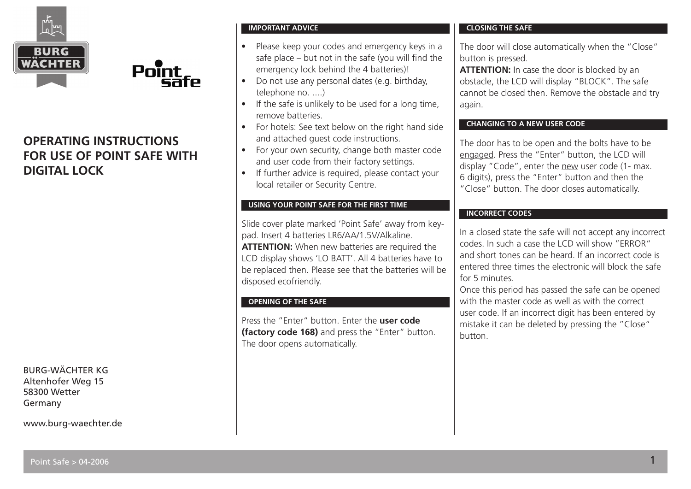

# **OPERATING INSTRUCTIONS FOR USE OF POINT SAFE WITH DIGITAL LOCK**

Point

BURG-WÄCHTER KG Altenhofer Weg 15 58300 Wetter Germany

www.burg-waechter.de

### **IMPORTANT ADVICE**

- Please keep your codes and emergency keys in a safe place – but not in the safe (you will find the emergency lock behind the 4 batteries)!
- Do not use any personal dates (e.g. birthday, telephone no. ....)
- If the safe is unlikely to be used for a long time, remove batteries.
- For hotels: See text below on the right hand side and attached guest code instructions.
- For your own security, change both master code and user code from their factory settings.
- If further advice is required, please contact your local retailer or Security Centre.

# **USING YOUR POINT SAFE FOR THE FIRST TIME**

Slide cover plate marked 'Point Safe' away from keypad. Insert 4 batteries LR6/AA/1.5V/Alkaline. **ATTENTION:** When new batteries are required the LCD display shows 'LO BATT'. All 4 batteries have to be replaced then. Please see that the batteries will be disposed ecofriendly.

### **OPENING OF THE SAFE**

Press the "Enter" button. Enter the **user code (factory code 168)** and press the "Enter" button. The door opens automatically.

# **CLOSING THE SAFE**

The door will close automatically when the "Close" button is pressed.

**ATTENTION:** In case the door is blocked by an obstacle, the LCD will display "BLOCK". The safe cannot be closed then. Remove the obstacle and try again.

### **CHANGING TO A NEW USER CODE**

The door has to be open and the bolts have to be engaged. Press the "Enter" button, the LCD will display "Code", enter the new user code (1- max. 6 digits), press the "Enter" button and then the "Close" button. The door closes automatically.

# **INCORRECT CODES**

In a closed state the safe will not accept any incorrect codes. In such a case the LCD will show "ERROR" and short tones can be heard. If an incorrect code is entered three times the electronic will block the safe for 5 minutes.

Once this period has passed the safe can be opened with the master code as well as with the correct user code. If an incorrect digit has been entered by mistake it can be deleted by pressing the "Close" button.